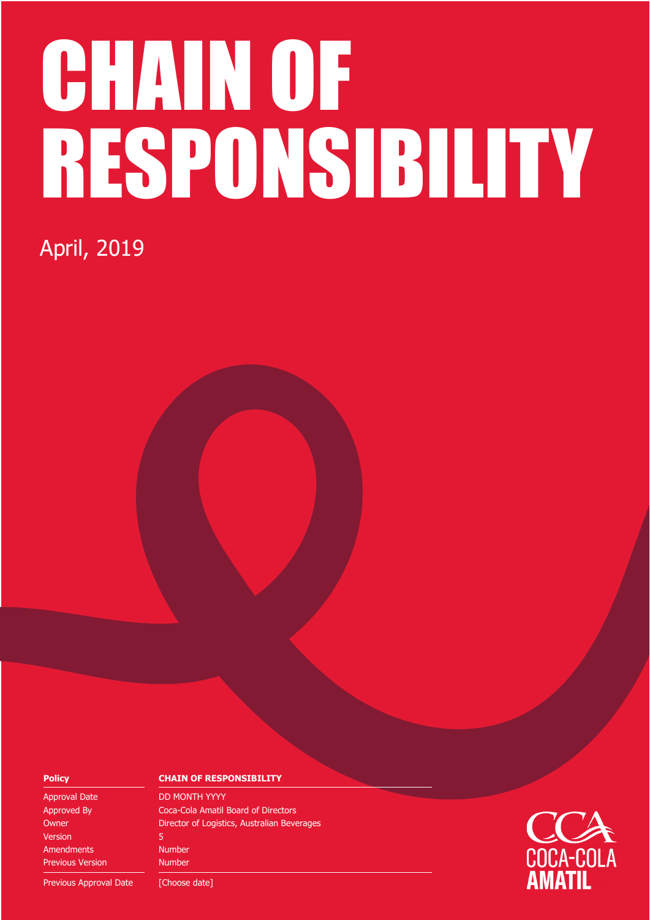# CHAIN OF RESPONSIBILITY

### April, 2019

Approval Date DD MONTH YYYY Version 5 Amendments Number Previous Version Number

#### **Policy CHAIN OF RESPONSIBILITY**

Approved By Coca-Cola Amatil Board of Directors Owner **Director of Logistics, Australian Beverages** 

Previous Approval Date [Choose date]

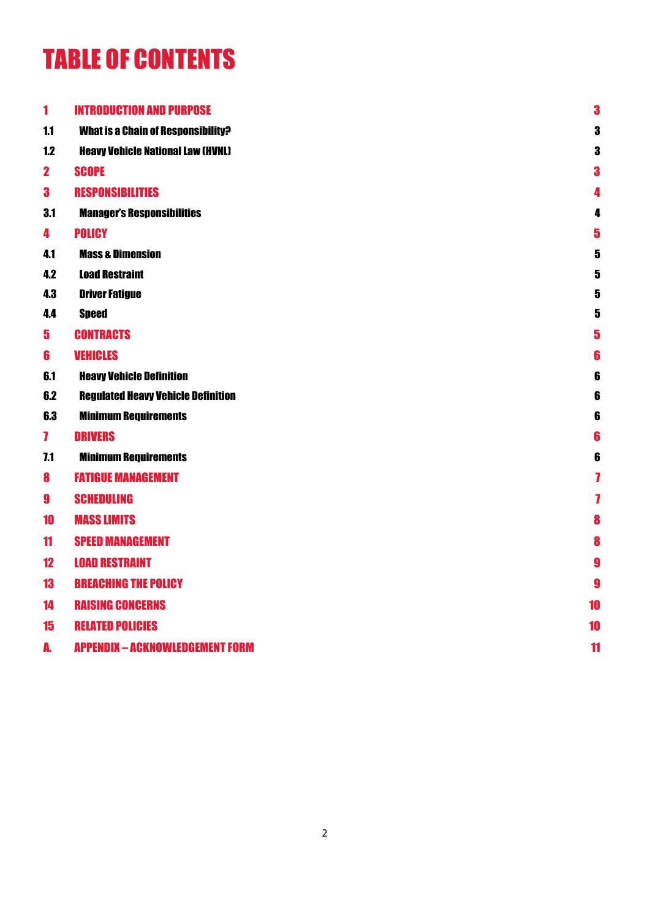### TABLE OF CONTENTS

| 1                       | <b>INTRODUCTION AND PURPOSE</b>           | 3                       |
|-------------------------|-------------------------------------------|-------------------------|
| 1.1                     | <b>What is a Chain of Responsibility?</b> | 3                       |
| 1.2                     | <b>Heavy Vehicle National Law (HVNL)</b>  | 3                       |
| $\mathbf{2}$            | <b>SCOPE</b>                              | 3                       |
| $\bf{3}$                | <b>RESPONSIBILITIES</b>                   | 4                       |
| 3.1                     | <b>Manager's Responsibilities</b>         | 4                       |
| 4                       | <b>POLICY</b>                             | 5                       |
| 4.1                     | <b>Mass &amp; Dimension</b>               | 5                       |
| 4.2                     | <b>Load Restraint</b>                     | $\overline{\mathbf{5}}$ |
| 4.3                     | <b>Driver Fatigue</b>                     | 5                       |
| 4.4                     | <b>Speed</b>                              | 5                       |
| $\overline{\mathbf{5}}$ | <b>CONTRACTS</b>                          | 5                       |
| 6                       | <b>VEHICLES</b>                           | 6                       |
| 6.1                     | <b>Heavy Vehicle Definition</b>           | 6                       |
| 6.2                     | <b>Regulated Heavy Vehicle Definition</b> | 6                       |
| 6.3                     | <b>Minimum Requirements</b>               | 6                       |
| $\mathbf{7}$            | <b>DRIVERS</b>                            | 6                       |
| 7.1                     | <b>Minimum Requirements</b>               | 6                       |
| 8                       | <b>FATIGUE MANAGEMENT</b>                 | 7                       |
| $\boldsymbol{9}$        | <b>SCHEDULING</b>                         | 7                       |
| 10                      | <b>MASS LIMITS</b>                        | 8                       |
| 11                      | <b>SPEED MANAGEMENT</b>                   | 8                       |
| 12                      | <b>LOAD RESTRAINT</b>                     | 9                       |
| 13                      | <b>BREACHING THE POLICY</b>               | 9                       |
| 14                      | <b>RAISING CONCERNS</b>                   | 10                      |
| 15                      | <b>RELATED POLICIES</b>                   | 10                      |
| A.                      | <b>APPENDIX - ACKNOWLEDGEMENT FORM</b>    | 11                      |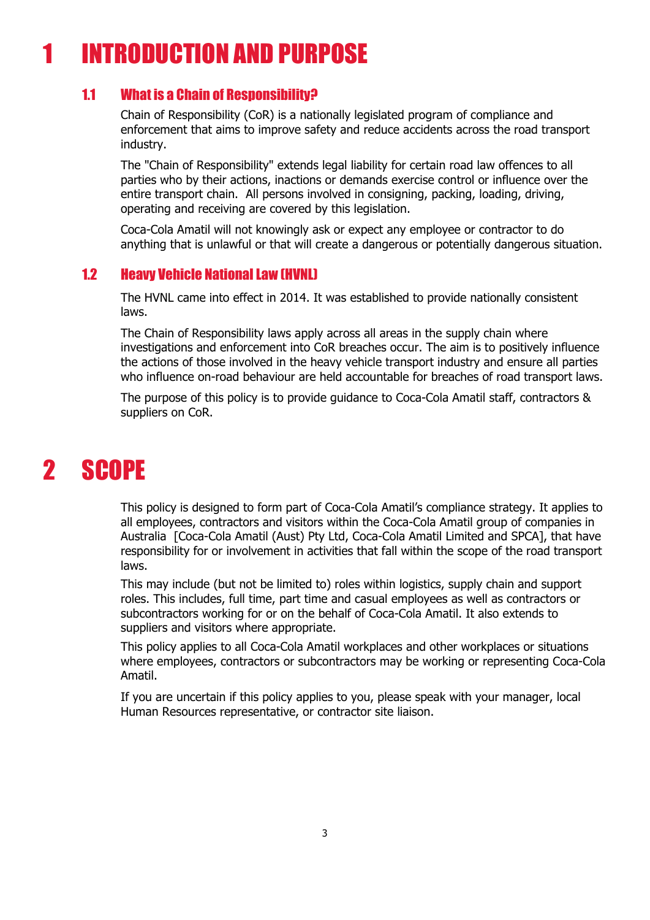### 1 INTRODUCTION AND PURPOSE

#### 1.1 What is a Chain of Responsibility?

Chain of Responsibility (CoR) is a nationally legislated program of compliance and enforcement that aims to improve safety and reduce accidents across the road transport industry.

The "Chain of Responsibility" extends legal liability for certain road law offences to all parties who by their actions, inactions or demands exercise control or influence over the entire transport chain. All persons involved in consigning, packing, loading, driving, operating and receiving are covered by this legislation.

Coca-Cola Amatil will not knowingly ask or expect any employee or contractor to do anything that is unlawful or that will create a dangerous or potentially dangerous situation.

#### 1.2 Heavy Vehicle National Law (HVNL)

The HVNL came into effect in 2014. It was established to provide nationally consistent laws.

The Chain of Responsibility laws apply across all areas in the supply chain where investigations and enforcement into CoR breaches occur. The aim is to positively influence the actions of those involved in the heavy vehicle transport industry and ensure all parties who influence on-road behaviour are held accountable for breaches of road transport laws.

The purpose of this policy is to provide guidance to Coca-Cola Amatil staff, contractors & suppliers on CoR.

### 2 SCOPE

This policy is designed to form part of Coca-Cola Amatil's compliance strategy. It applies to all employees, contractors and visitors within the Coca-Cola Amatil group of companies in Australia [Coca-Cola Amatil (Aust) Pty Ltd, Coca-Cola Amatil Limited and SPCA], that have responsibility for or involvement in activities that fall within the scope of the road transport laws.

This may include (but not be limited to) roles within logistics, supply chain and support roles. This includes, full time, part time and casual employees as well as contractors or subcontractors working for or on the behalf of Coca-Cola Amatil. It also extends to suppliers and visitors where appropriate.

This policy applies to all Coca-Cola Amatil workplaces and other workplaces or situations where employees, contractors or subcontractors may be working or representing Coca-Cola Amatil.

If you are uncertain if this policy applies to you, please speak with your manager, local Human Resources representative, or contractor site liaison.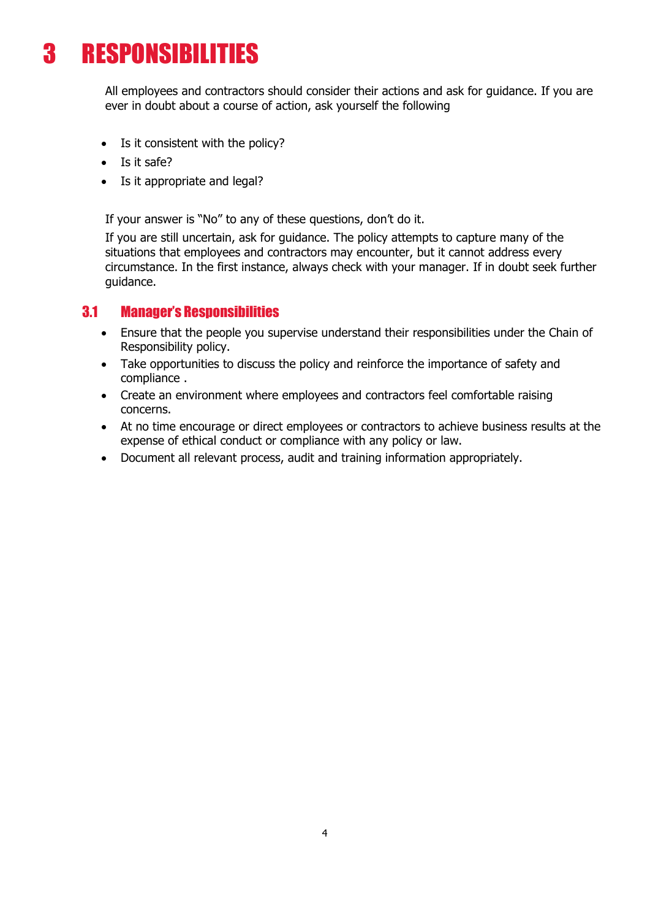### 3 RESPONSIBILITIES

All employees and contractors should consider their actions and ask for guidance. If you are ever in doubt about a course of action, ask yourself the following

- Is it consistent with the policy?
- Is it safe?
- Is it appropriate and legal?

If your answer is "No" to any of these questions, don't do it.

If you are still uncertain, ask for guidance. The policy attempts to capture many of the situations that employees and contractors may encounter, but it cannot address every circumstance. In the first instance, always check with your manager. If in doubt seek further guidance.

#### 3.1 Manager's Responsibilities

- Ensure that the people you supervise understand their responsibilities under the Chain of Responsibility policy.
- Take opportunities to discuss the policy and reinforce the importance of safety and compliance .
- Create an environment where employees and contractors feel comfortable raising concerns.
- At no time encourage or direct employees or contractors to achieve business results at the expense of ethical conduct or compliance with any policy or law.
- Document all relevant process, audit and training information appropriately.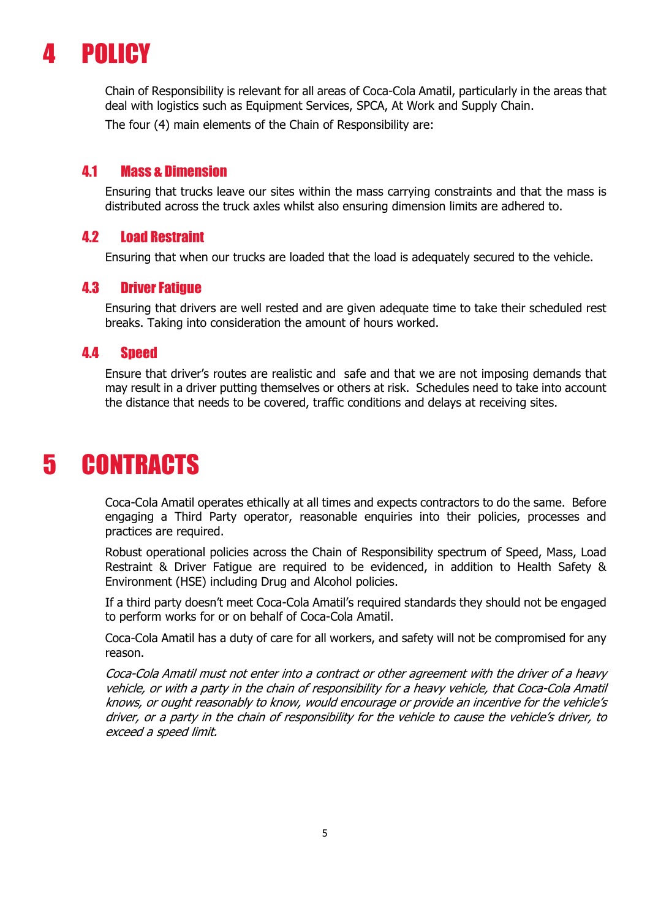### 4 POLICY

Chain of Responsibility is relevant for all areas of Coca-Cola Amatil, particularly in the areas that deal with logistics such as Equipment Services, SPCA, At Work and Supply Chain.

The four (4) main elements of the Chain of Responsibility are:

#### 4.1 Mass & Dimension

Ensuring that trucks leave our sites within the mass carrying constraints and that the mass is distributed across the truck axles whilst also ensuring dimension limits are adhered to.

#### 4.2 Load Restraint

Ensuring that when our trucks are loaded that the load is adequately secured to the vehicle.

#### 4.3 Driver Fatigue

Ensuring that drivers are well rested and are given adequate time to take their scheduled rest breaks. Taking into consideration the amount of hours worked.

#### 4.4 Speed

Ensure that driver's routes are realistic and safe and that we are not imposing demands that may result in a driver putting themselves or others at risk. Schedules need to take into account the distance that needs to be covered, traffic conditions and delays at receiving sites.

### 5 CONTRACTS

Coca-Cola Amatil operates ethically at all times and expects contractors to do the same. Before engaging a Third Party operator, reasonable enquiries into their policies, processes and practices are required.

Robust operational policies across the Chain of Responsibility spectrum of Speed, Mass, Load Restraint & Driver Fatigue are required to be evidenced, in addition to Health Safety & Environment (HSE) including Drug and Alcohol policies.

If a third party doesn't meet Coca-Cola Amatil's required standards they should not be engaged to perform works for or on behalf of Coca-Cola Amatil.

Coca-Cola Amatil has a duty of care for all workers, and safety will not be compromised for any reason.

Coca-Cola Amatil must not enter into a contract or other agreement with the driver of a heavy vehicle, or with a party in the chain of responsibility for a heavy vehicle, that Coca-Cola Amatil knows, or ought reasonably to know, would encourage or provide an incentive for the vehicle's driver, or a party in the chain of responsibility for the vehicle to cause the vehicle's driver, to exceed a speed limit.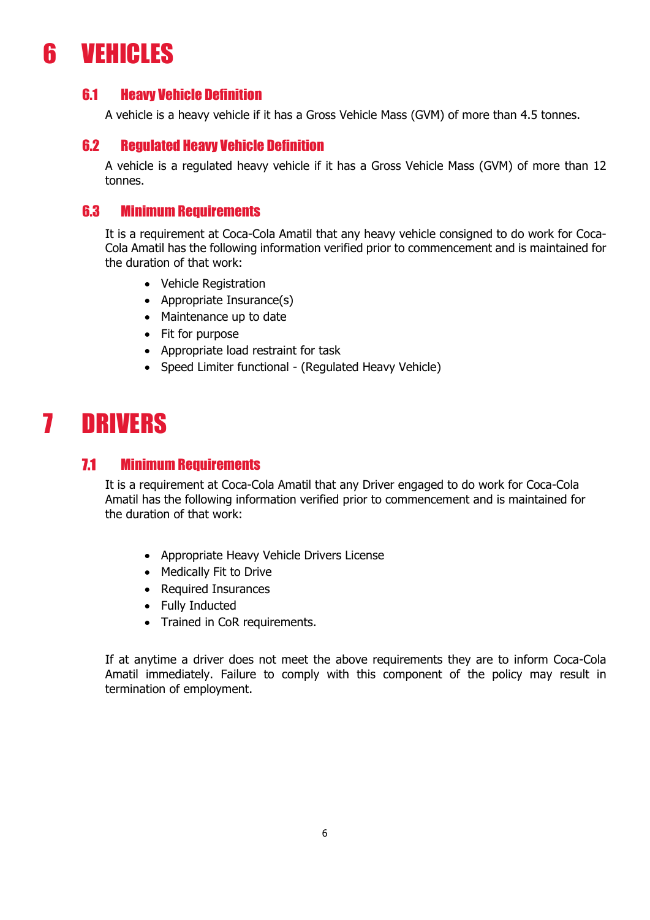### 6 VEHICLES

#### 6.1 Heavy Vehicle Definition

A vehicle is a heavy vehicle if it has a Gross Vehicle Mass (GVM) of more than 4.5 tonnes.

#### 6.2 Regulated Heavy Vehicle Definition

A vehicle is a regulated heavy vehicle if it has a Gross Vehicle Mass (GVM) of more than 12 tonnes.

#### 6.3 Minimum Requirements

It is a requirement at Coca-Cola Amatil that any heavy vehicle consigned to do work for Coca-Cola Amatil has the following information verified prior to commencement and is maintained for the duration of that work:

- Vehicle Registration
- Appropriate Insurance(s)
- Maintenance up to date
- Fit for purpose
- Appropriate load restraint for task
- Speed Limiter functional (Regulated Heavy Vehicle)

### 7 DRIVERS

#### 7.1 Minimum Requirements

It is a requirement at Coca-Cola Amatil that any Driver engaged to do work for Coca-Cola Amatil has the following information verified prior to commencement and is maintained for the duration of that work:

- Appropriate Heavy Vehicle Drivers License
- Medically Fit to Drive
- Required Insurances
- Fully Inducted
- Trained in CoR requirements.

If at anytime a driver does not meet the above requirements they are to inform Coca-Cola Amatil immediately. Failure to comply with this component of the policy may result in termination of employment.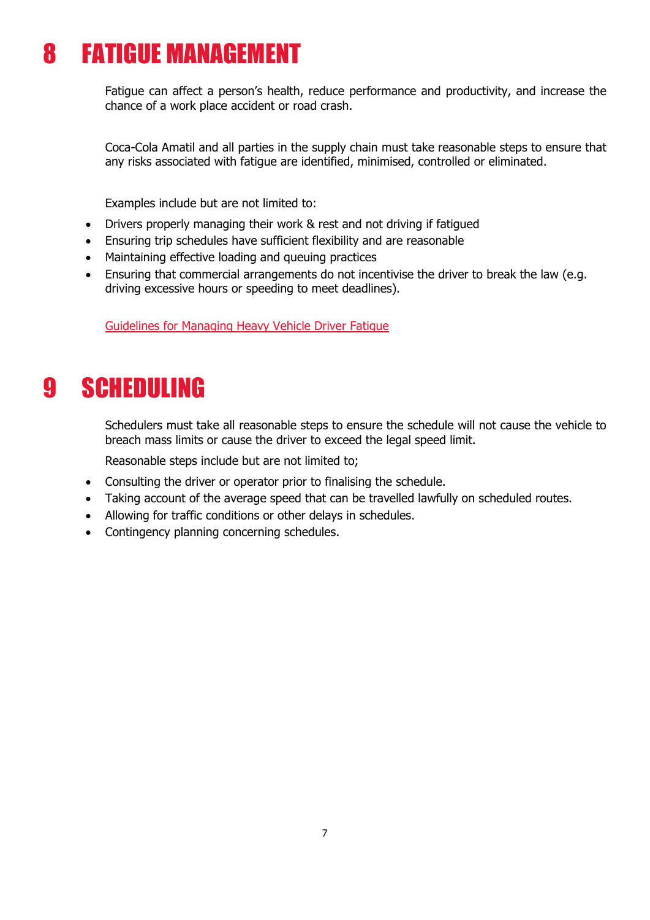### 8 FATIGUE MANAGEMENT

Fatigue can affect a person's health, reduce performance and productivity, and increase the chance of a work place accident or road crash.

Coca-Cola Amatil and all parties in the supply chain must take reasonable steps to ensure that any risks associated with fatigue are identified, minimised, controlled or eliminated.

Examples include but are not limited to:

- Drivers properly managing their work & rest and not driving if fatigued
- Ensuring trip schedules have sufficient flexibility and are reasonable
- Maintaining effective loading and queuing practices
- Ensuring that commercial arrangements do not incentivise the driver to break the law (e.g. driving excessive hours or speeding to meet deadlines).

Guidelines for Managing Heavy Vehicle Driver Fatigue

### 9 SCHEDULING

Schedulers must take all reasonable steps to ensure the schedule will not cause the vehicle to breach mass limits or cause the driver to exceed the legal speed limit.

Reasonable steps include but are not limited to;

- Consulting the driver or operator prior to finalising the schedule.
- Taking account of the average speed that can be travelled lawfully on scheduled routes.
- Allowing for traffic conditions or other delays in schedules.
- Contingency planning concerning schedules.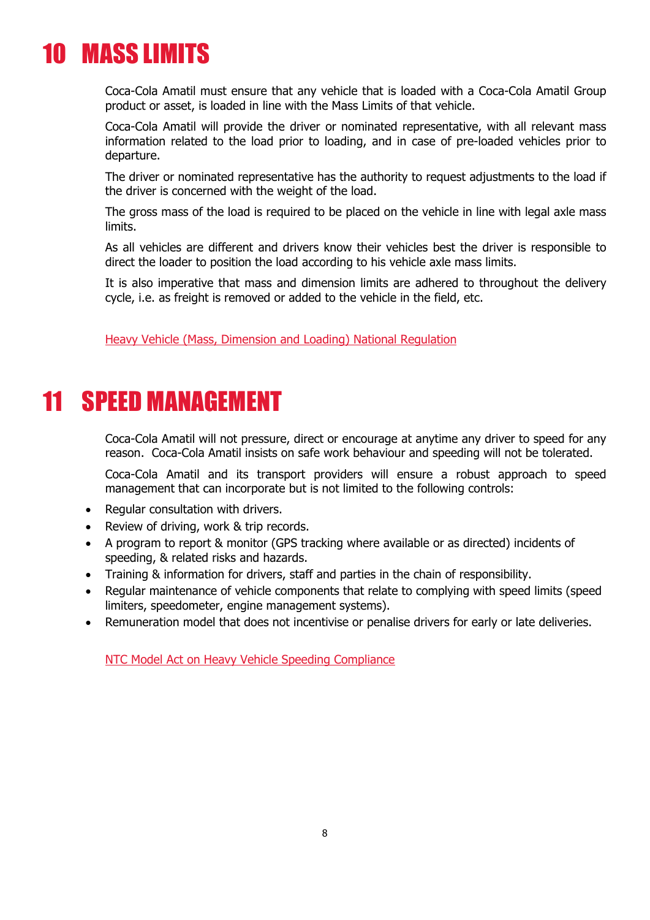### 10 MASS LIMITS

Coca-Cola Amatil must ensure that any vehicle that is loaded with a Coca-Cola Amatil Group product or asset, is loaded in line with the Mass Limits of that vehicle.

Coca-Cola Amatil will provide the driver or nominated representative, with all relevant mass information related to the load prior to loading, and in case of pre-loaded vehicles prior to departure.

The driver or nominated representative has the authority to request adjustments to the load if the driver is concerned with the weight of the load.

The gross mass of the load is required to be placed on the vehicle in line with legal axle mass limits.

As all vehicles are different and drivers know their vehicles best the driver is responsible to direct the loader to position the load according to his vehicle axle mass limits.

It is also imperative that mass and dimension limits are adhered to throughout the delivery cycle, i.e. as freight is removed or added to the vehicle in the field, etc.

Heavy Vehicle (Mass, Dimension and Loading) National Regulation

### 11 SPEED MANAGEMENT

Coca-Cola Amatil will not pressure, direct or encourage at anytime any driver to speed for any reason. Coca-Cola Amatil insists on safe work behaviour and speeding will not be tolerated.

Coca-Cola Amatil and its transport providers will ensure a robust approach to speed management that can incorporate but is not limited to the following controls:

- Regular consultation with drivers.
- Review of driving, work & trip records.
- A program to report & monitor (GPS tracking where available or as directed) incidents of speeding, & related risks and hazards.
- Training & information for drivers, staff and parties in the chain of responsibility.
- Regular maintenance of vehicle components that relate to complying with speed limits (speed limiters, speedometer, engine management systems).
- Remuneration model that does not incentivise or penalise drivers for early or late deliveries.

NTC Model Act on Heavy Vehicle Speeding Compliance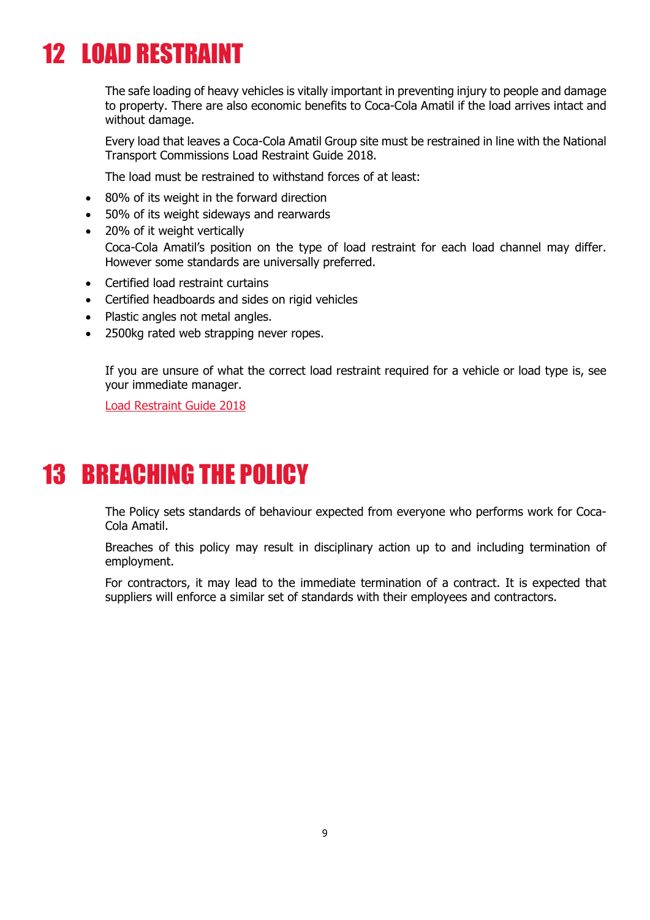### 12 LOAD RESTRAINT

The safe loading of heavy vehicles is vitally important in preventing injury to people and damage to property. There are also economic benefits to Coca-Cola Amatil if the load arrives intact and without damage.

Every load that leaves a Coca-Cola Amatil Group site must be restrained in line with the National Transport Commissions Load Restraint Guide 2018.

The load must be restrained to withstand forces of at least:

- 80% of its weight in the forward direction
- 50% of its weight sideways and rearwards
- 20% of it weight vertically Coca-Cola Amatil's position on the type of load restraint for each load channel may differ. However some standards are universally preferred.
- Certified load restraint curtains
- Certified headboards and sides on rigid vehicles
- Plastic angles not metal angles.
- 2500kg rated web strapping never ropes.

If you are unsure of what the correct load restraint required for a vehicle or load type is, see your immediate manager.

Load Restraint Guide 2018

### 13 BREACHING THE POLICY

The Policy sets standards of behaviour expected from everyone who performs work for Coca-Cola Amatil.

Breaches of this policy may result in disciplinary action up to and including termination of employment.

For contractors, it may lead to the immediate termination of a contract. It is expected that suppliers will enforce a similar set of standards with their employees and contractors.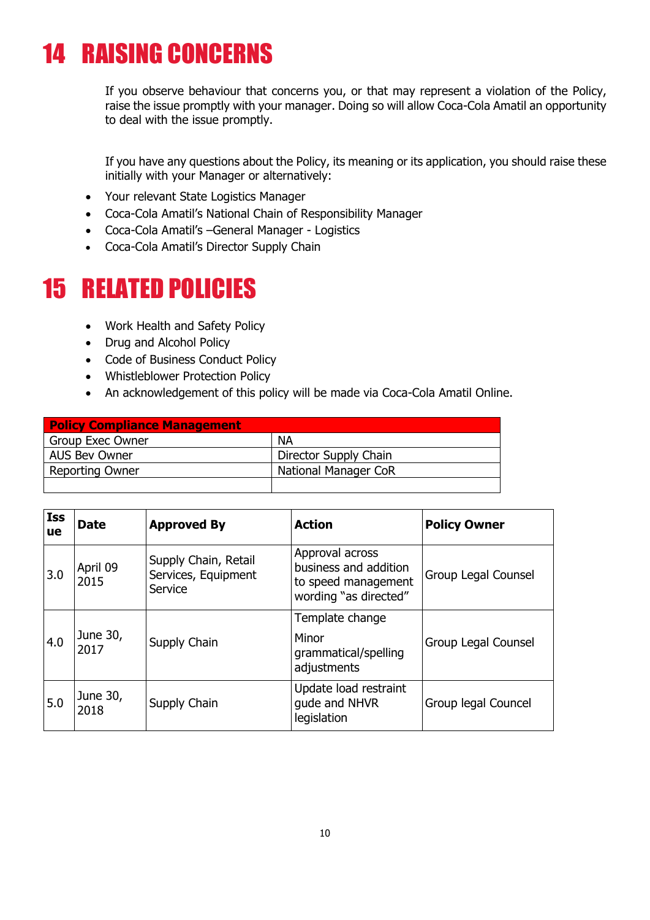### 14 RAISING CONCERNS

If you observe behaviour that concerns you, or that may represent a violation of the Policy, raise the issue promptly with your manager. Doing so will allow Coca-Cola Amatil an opportunity to deal with the issue promptly.

If you have any questions about the Policy, its meaning or its application, you should raise these initially with your Manager or alternatively:

- Your relevant State Logistics Manager
- Coca-Cola Amatil's National Chain of Responsibility Manager
- Coca-Cola Amatil's –General Manager Logistics
- Coca-Cola Amatil's Director Supply Chain

### 15 RELATED POLICIES

- Work Health and Safety Policy
- Drug and Alcohol Policy
- Code of Business Conduct Policy
- Whistleblower Protection Policy
- An acknowledgement of this policy will be made via Coca-Cola Amatil Online.

| <b>Policy Compliance Management</b> |                             |  |
|-------------------------------------|-----------------------------|--|
| Group Exec Owner                    | <b>NA</b>                   |  |
| <b>AUS Bev Owner</b>                | Director Supply Chain       |  |
| <b>Reporting Owner</b>              | <b>National Manager CoR</b> |  |
|                                     |                             |  |

| <b>Iss</b><br>ue | <b>Date</b>      | <b>Approved By</b>                                     | <b>Action</b>                                                                            | <b>Policy Owner</b> |
|------------------|------------------|--------------------------------------------------------|------------------------------------------------------------------------------------------|---------------------|
| 3.0              | April 09<br>2015 | Supply Chain, Retail<br>Services, Equipment<br>Service | Approval across<br>business and addition<br>to speed management<br>wording "as directed" | Group Legal Counsel |
| 4.0              | June 30,<br>2017 | Supply Chain                                           | Template change<br>Minor<br>grammatical/spelling<br>adjustments                          | Group Legal Counsel |
| 5.0              | June 30,<br>2018 | Supply Chain                                           | Update load restraint<br>gude and NHVR<br>legislation                                    | Group legal Councel |